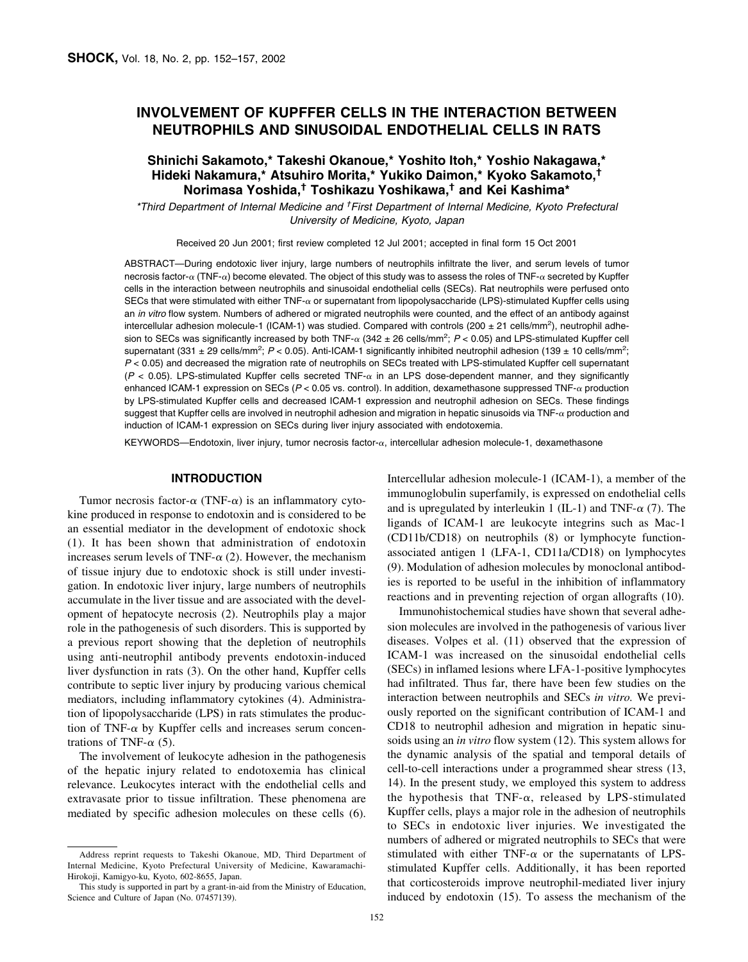# **INVOLVEMENT OF KUPFFER CELLS IN THE INTERACTION BETWEEN NEUTROPHILS AND SINUSOIDAL ENDOTHELIAL CELLS IN RATS**

# **Shinichi Sakamoto,\* Takeshi Okanoue,\* Yoshito Itoh,\* Yoshio Nakagawa,\* Hideki Nakamura,\* Atsuhiro Morita,\* Yukiko Daimon,\* Kyoko Sakamoto,† Norimasa Yoshida,† Toshikazu Yoshikawa,† and Kei Kashima\***

*\*Third Department of Internal Medicine and † First Department of Internal Medicine, Kyoto Prefectural University of Medicine, Kyoto, Japan*

Received 20 Jun 2001; first review completed 12 Jul 2001; accepted in final form 15 Oct 2001

ABSTRACT—During endotoxic liver injury, large numbers of neutrophils infiltrate the liver, and serum levels of tumor necrosis factor- $\alpha$  (TNF- $\alpha$ ) become elevated. The object of this study was to assess the roles of TNF- $\alpha$  secreted by Kupffer cells in the interaction between neutrophils and sinusoidal endothelial cells (SECs). Rat neutrophils were perfused onto SECs that were stimulated with either  $TNF-\alpha$  or supernatant from lipopolysaccharide (LPS)-stimulated Kupffer cells using an *in vitro* flow system. Numbers of adhered or migrated neutrophils were counted, and the effect of an antibody against intercellular adhesion molecule-1 (ICAM-1) was studied. Compared with controls (200  $\pm$  21 cells/mm<sup>2</sup>), neutrophil adhesion to SECs was significantly increased by both TNF- $\alpha$  (342 ± 26 cells/mm<sup>2</sup>; P < 0.05) and LPS-stimulated Kupffer cell supernatant (331 ± 29 cells/mm<sup>2</sup>; P < 0.05). Anti-ICAM-1 significantly inhibited neutrophil adhesion (139 ± 10 cells/mm<sup>2</sup>; *P* < 0.05) and decreased the migration rate of neutrophils on SECs treated with LPS-stimulated Kupffer cell supernatant  $(P < 0.05)$ . LPS-stimulated Kupffer cells secreted TNF- $\alpha$  in an LPS dose-dependent manner, and they significantly enhanced ICAM-1 expression on SECs ( $P < 0.05$  vs. control). In addition, dexamethasone suppressed TNF- $\alpha$  production by LPS-stimulated Kupffer cells and decreased ICAM-1 expression and neutrophil adhesion on SECs. These findings suggest that Kupffer cells are involved in neutrophil adhesion and migration in hepatic sinusoids via TNF- $\alpha$  production and induction of ICAM-1 expression on SECs during liver injury associated with endotoxemia.

KEYWORDS—Endotoxin, liver injury, tumor necrosis factor- $\alpha$ , intercellular adhesion molecule-1, dexamethasone

### **INTRODUCTION**

Tumor necrosis factor- $\alpha$  (TNF- $\alpha$ ) is an inflammatory cytokine produced in response to endotoxin and is considered to be an essential mediator in the development of endotoxic shock (1). It has been shown that administration of endotoxin increases serum levels of TNF- $\alpha$  (2). However, the mechanism of tissue injury due to endotoxic shock is still under investigation. In endotoxic liver injury, large numbers of neutrophils accumulate in the liver tissue and are associated with the development of hepatocyte necrosis (2). Neutrophils play a major role in the pathogenesis of such disorders. This is supported by a previous report showing that the depletion of neutrophils using anti-neutrophil antibody prevents endotoxin-induced liver dysfunction in rats (3). On the other hand, Kupffer cells contribute to septic liver injury by producing various chemical mediators, including inflammatory cytokines (4). Administration of lipopolysaccharide (LPS) in rats stimulates the production of TNF- $\alpha$  by Kupffer cells and increases serum concentrations of TNF- $\alpha$  (5).

The involvement of leukocyte adhesion in the pathogenesis of the hepatic injury related to endotoxemia has clinical relevance. Leukocytes interact with the endothelial cells and extravasate prior to tissue infiltration. These phenomena are mediated by specific adhesion molecules on these cells (6). Intercellular adhesion molecule-1 (ICAM-1), a member of the immunoglobulin superfamily, is expressed on endothelial cells and is upregulated by interleukin 1 (IL-1) and TNF- $\alpha$  (7). The ligands of ICAM-1 are leukocyte integrins such as Mac-1 (CD11b/CD18) on neutrophils (8) or lymphocyte functionassociated antigen 1 (LFA-1, CD11a/CD18) on lymphocytes (9). Modulation of adhesion molecules by monoclonal antibodies is reported to be useful in the inhibition of inflammatory reactions and in preventing rejection of organ allografts (10).

Immunohistochemical studies have shown that several adhesion molecules are involved in the pathogenesis of various liver diseases. Volpes et al. (11) observed that the expression of ICAM-1 was increased on the sinusoidal endothelial cells (SECs) in inflamed lesions where LFA-1-positive lymphocytes had infiltrated. Thus far, there have been few studies on the interaction between neutrophils and SECs *in vitro.* We previously reported on the significant contribution of ICAM-1 and CD18 to neutrophil adhesion and migration in hepatic sinusoids using an *in vitro* flow system (12). This system allows for the dynamic analysis of the spatial and temporal details of cell-to-cell interactions under a programmed shear stress (13, 14). In the present study, we employed this system to address the hypothesis that TNF- $\alpha$ , released by LPS-stimulated Kupffer cells, plays a major role in the adhesion of neutrophils to SECs in endotoxic liver injuries. We investigated the numbers of adhered or migrated neutrophils to SECs that were stimulated with either TNF- $\alpha$  or the supernatants of LPSstimulated Kupffer cells. Additionally, it has been reported that corticosteroids improve neutrophil-mediated liver injury induced by endotoxin (15). To assess the mechanism of the

Address reprint requests to Takeshi Okanoue, MD, Third Department of Internal Medicine, Kyoto Prefectural University of Medicine, Kawaramachi-Hirokoji, Kamigyo-ku, Kyoto, 602-8655, Japan.

This study is supported in part by a grant-in-aid from the Ministry of Education, Science and Culture of Japan (No. 07457139).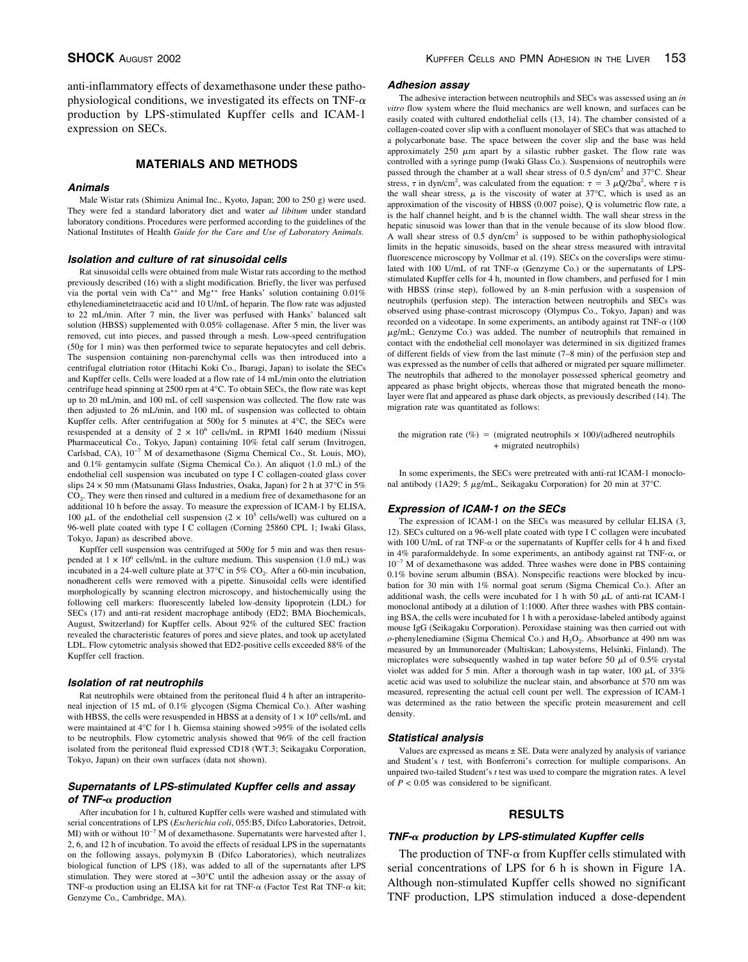anti-inflammatory effects of dexamethasone under these pathophysiological conditions, we investigated its effects on TNF- $\alpha$ production by LPS-stimulated Kupffer cells and ICAM-1 expression on SECs.

## **MATERIALS AND METHODS**

### *Animals*

Male Wistar rats (Shimizu Animal Inc., Kyoto, Japan; 200 to 250 g) were used. They were fed a standard laboratory diet and water *ad libitum* under standard laboratory conditions. Procedures were performed according to the guidelines of the National Institutes of Health *Guide for the Care and Use of Laboratory Animals.*

### *Isolation and culture of rat sinusoidal cells*

Rat sinusoidal cells were obtained from male Wistar rats according to the method previously described (16) with a slight modification. Briefly, the liver was perfused via the portal vein with  $Ca^{++}$  and  $Mg^{++}$  free Hanks' solution containing 0.01% ethylenediaminetetraacetic acid and 10 U/mL of heparin. The flow rate was adjusted to 22 mL/min. After 7 min, the liver was perfused with Hanks' balanced salt solution (HBSS) supplemented with 0.05% collagenase. After 5 min, the liver was removed, cut into pieces, and passed through a mesh. Low-speed centrifugation (50*g* for 1 min) was then performed twice to separate hepatocytes and cell debris. The suspension containing non-parenchymal cells was then introduced into a centrifugal elutriation rotor (Hitachi Koki Co., Ibaragi, Japan) to isolate the SECs and Kupffer cells. Cells were loaded at a flow rate of 14 mL/min onto the elutriation centrifuge head spinning at 2500 rpm at 4°C. To obtain SECs, the flow rate was kept up to 20 mL/min, and 100 mL of cell suspension was collected. The flow rate was then adjusted to 26 mL/min, and 100 mL of suspension was collected to obtain Kupffer cells. After centrifugation at 500*g* for 5 minutes at 4°C, the SECs were resuspended at a density of  $2 \times 10^6$  cells/mL in RPMI 1640 medium (Nissui Pharmaceutical Co., Tokyo, Japan) containing 10% fetal calf serum (Invitrogen, Carlsbad, CA), 10−7 M of dexamethasone (Sigma Chemical Co., St. Louis, MO), and 0.1% gentamycin sulfate (Sigma Chemical Co.). An aliquot (1.0 mL) of the endothelial cell suspension was incubated on type I C collagen-coated glass cover slips  $24 \times 50$  mm (Matsunami Glass Industries, Osaka, Japan) for 2 h at 37°C in 5% CO<sub>2</sub>. They were then rinsed and cultured in a medium free of dexamethasone for an additional 10 h before the assay. To measure the expression of ICAM-1 by ELISA, 100  $\mu$ L of the endothelial cell suspension (2 × 10<sup>5</sup> cells/well) was cultured on a 96-well plate coated with type I C collagen (Corning 25860 CPL 1; Iwaki Glass, Tokyo, Japan) as described above.

Kupffer cell suspension was centrifuged at 500*g* for 5 min and was then resuspended at  $1 \times 10^6$  cells/mL in the culture medium. This suspension (1.0 mL) was incubated in a 24-well culture plate at  $37^{\circ}$ C in  $5\%$  CO<sub>2</sub>. After a 60-min incubation, nonadherent cells were removed with a pipette. Sinusoidal cells were identified morphologically by scanning electron microscopy, and histochemically using the following cell markers: fluorescently labeled low-density lipoprotein (LDL) for SECs (17) and anti-rat resident macrophage antibody (ED2; BMA Biochemicals, August, Switzerland) for Kupffer cells. About 92% of the cultured SEC fraction revealed the characteristic features of pores and sieve plates, and took up acetylated LDL. Flow cytometric analysis showed that ED2-positive cells exceeded 88% of the Kupffer cell fraction.

### *Isolation of rat neutrophils*

Rat neutrophils were obtained from the peritoneal fluid 4 h after an intraperitoneal injection of 15 mL of 0.1% glycogen (Sigma Chemical Co.). After washing with HBSS, the cells were resuspended in HBSS at a density of  $1 \times 10^6$  cells/mL and were maintained at 4°C for 1 h. Giemsa staining showed >95% of the isolated cells to be neutrophils. Flow cytometric analysis showed that 96% of the cell fraction isolated from the peritoneal fluid expressed CD18 (WT.3; Seikagaku Corporation, Tokyo, Japan) on their own surfaces (data not shown).

### *Supernatants of LPS-stimulated Kupffer cells and assay of TNF- production*

After incubation for 1 h, cultured Kupffer cells were washed and stimulated with serial concentrations of LPS (*Escherichia coli*, 055:B5, Difco Laboratories, Detroit, MI) with or without  $10^{-7}$  M of dexamethasone. Supernatants were harvested after 1, 2, 6, and 12 h of incubation. To avoid the effects of residual LPS in the supernatants on the following assays, polymyxin B (Difco Laboratories), which neutralizes biological function of LPS (18), was added to all of the supernatants after LPS stimulation. They were stored at −30°C until the adhesion assay or the assay of TNF- $\alpha$  production using an ELISA kit for rat TNF- $\alpha$  (Factor Test Rat TNF- $\alpha$  kit; Genzyme Co., Cambridge, MA).

#### *Adhesion assay*

The adhesive interaction between neutrophils and SECs was assessed using an *in vitro* flow system where the fluid mechanics are well known, and surfaces can be easily coated with cultured endothelial cells (13, 14). The chamber consisted of a collagen-coated cover slip with a confluent monolayer of SECs that was attached to a polycarbonate base. The space between the cover slip and the base was held approximately  $250 \mu m$  apart by a silastic rubber gasket. The flow rate was controlled with a syringe pump (Iwaki Glass Co.). Suspensions of neutrophils were passed through the chamber at a wall shear stress of 0.5 dyn/cm<sup>2</sup> and 37°C. Shear stress,  $\tau$  in dyn/cm<sup>2</sup>, was calculated from the equation:  $\tau = 3 \mu Q/2ba^2$ , where  $\tau$  is the wall shear stress,  $\mu$  is the viscosity of water at 37°C, which is used as an approximation of the viscosity of HBSS (0.007 poise), Q is volumetric flow rate, a is the half channel height, and b is the channel width. The wall shear stress in the hepatic sinusoid was lower than that in the venule because of its slow blood flow. A wall shear stress of 0.5 dyn/cm<sup>2</sup> is supposed to be within pathophysiological limits in the hepatic sinusoids, based on the shear stress measured with intravital fluorescence microscopy by Vollmar et al. (19). SECs on the coverslips were stimulated with 100 U/mL of rat TNF- $\alpha$  (Genzyme Co.) or the supernatants of LPSstimulated Kupffer cells for 4 h, mounted in flow chambers, and perfused for 1 min with HBSS (rinse step), followed by an 8-min perfusion with a suspension of neutrophils (perfusion step). The interaction between neutrophils and SECs was observed using phase-contrast microscopy (Olympus Co., Tokyo, Japan) and was recorded on a videotape. In some experiments, an antibody against rat TNF- $\alpha$  (100  $\mu$ g/mL; Genzyme Co.) was added. The number of neutrophils that remained in contact with the endothelial cell monolayer was determined in six digitized frames of different fields of view from the last minute (7–8 min) of the perfusion step and was expressed as the number of cells that adhered or migrated per square millimeter. The neutrophils that adhered to the monolayer possessed spherical geometry and appeared as phase bright objects, whereas those that migrated beneath the monolayer were flat and appeared as phase dark objects, as previously described (14). The migration rate was quantitated as follows:

the migration rate (%) = (migrated neutrophils  $\times$  100)/(adhered neutrophils + migrated neutrophils)

In some experiments, the SECs were pretreated with anti-rat ICAM-1 monoclonal antibody (1A29; 5 µg/mL, Seikagaku Corporation) for 20 min at 37°C.

### *Expression of ICAM-1 on the SECs*

The expression of ICAM-1 on the SECs was measured by cellular ELISA (3, 12). SECs cultured on a 96-well plate coated with type I C collagen were incubated with 100 U/mL of rat TNF- $\alpha$  or the supernatants of Kupffer cells for 4 h and fixed in 4% paraformaldehyde. In some experiments, an antibody against rat TNF- $\alpha$ , or 10−7 M of dexamethasone was added. Three washes were done in PBS containing 0.1% bovine serum albumin (BSA). Nonspecific reactions were blocked by incubation for 30 min with 1% normal goat serum (Sigma Chemical Co.). After an additional wash, the cells were incubated for 1 h with 50  $\mu$ L of anti-rat ICAM-1 monoclonal antibody at a dilution of 1:1000. After three washes with PBS containing BSA, the cells were incubated for 1 h with a peroxidase-labeled antibody against mouse IgG (Seikagaku Corporation). Peroxidase staining was then carried out with  $o$ -phenylenediamine (Sigma Chemical Co.) and  $H_2O_2$ . Absorbance at 490 nm was measured by an Immunoreader (Multiskan; Labosystems, Helsinki, Finland). The microplates were subsequently washed in tap water before 50  $\mu$ l of 0.5% crystal violet was added for 5 min. After a thorough wash in tap water, 100  $\mu$ L of 33% acetic acid was used to solubilize the nuclear stain, and absorbance at 570 nm was measured, representing the actual cell count per well. The expression of ICAM-1 was determined as the ratio between the specific protein measurement and cell density.

#### *Statistical analysis*

Values are expressed as means ± SE. Data were analyzed by analysis of variance and Student's *t* test, with Bonferroni's correction for multiple comparisons. An unpaired two-tailed Student's *t* test was used to compare the migration rates. A level of  $P < 0.05$  was considered to be significant.

### **RESULTS**

### *TNF- production by LPS-stimulated Kupffer cells*

The production of TNF- $\alpha$  from Kupffer cells stimulated with serial concentrations of LPS for 6 h is shown in Figure 1A. Although non-stimulated Kupffer cells showed no significant TNF production, LPS stimulation induced a dose-dependent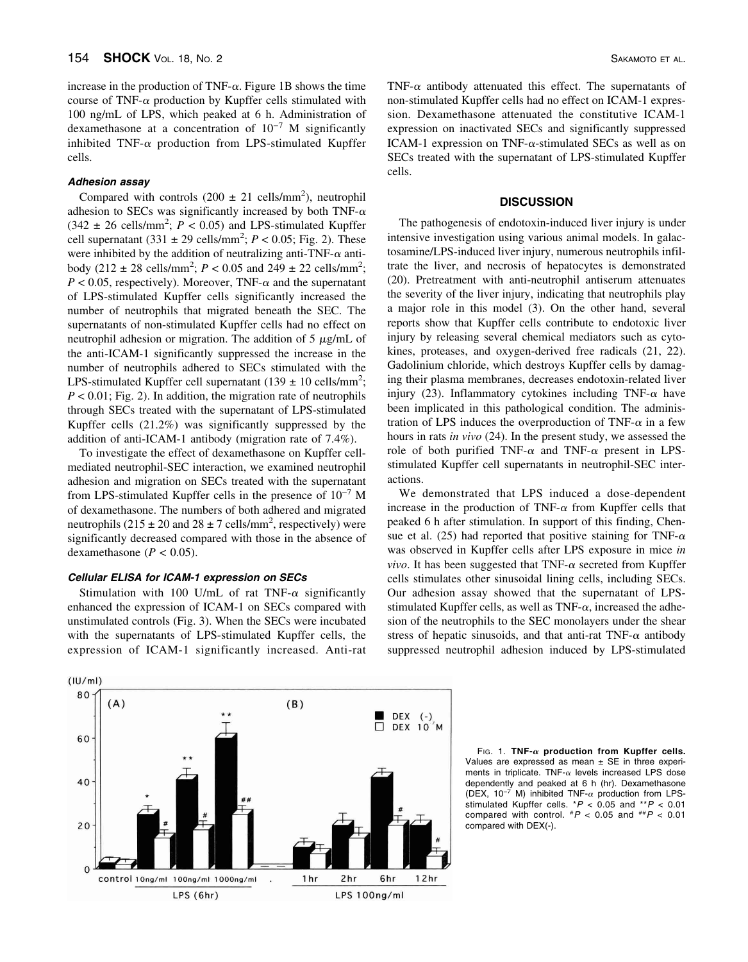increase in the production of TNF- $\alpha$ . Figure 1B shows the time course of TNF- $\alpha$  production by Kupffer cells stimulated with 100 ng/mL of LPS, which peaked at 6 h. Administration of dexamethasone at a concentration of 10−7 M significantly inhibited TNF- $\alpha$  production from LPS-stimulated Kupffer cells.

### *Adhesion assay*

Compared with controls  $(200 \pm 21 \text{ cells/mm}^2)$ , neutrophil adhesion to SECs was significantly increased by both TNF- $\alpha$  $(342 \pm 26 \text{ cells/mm}^2; P < 0.05)$  and LPS-stimulated Kupffer cell supernatant  $(331 \pm 29 \text{ cells/mm}^2; P < 0.05; \text{Fig. 2}).$  These were inhibited by the addition of neutralizing anti-TNF- $\alpha$  antibody  $(212 \pm 28 \text{ cells/mm}^2; P < 0.05 \text{ and } 249 \pm 22 \text{ cells/mm}^2;$  $P < 0.05$ , respectively). Moreover, TNF- $\alpha$  and the supernatant of LPS-stimulated Kupffer cells significantly increased the number of neutrophils that migrated beneath the SEC. The supernatants of non-stimulated Kupffer cells had no effect on neutrophil adhesion or migration. The addition of  $5 \mu$ g/mL of the anti-ICAM-1 significantly suppressed the increase in the number of neutrophils adhered to SECs stimulated with the LPS-stimulated Kupffer cell supernatant  $(139 \pm 10 \text{ cells/mm}^2)$ ; *P* < 0.01; Fig. 2). In addition, the migration rate of neutrophils through SECs treated with the supernatant of LPS-stimulated Kupffer cells (21.2%) was significantly suppressed by the addition of anti-ICAM-1 antibody (migration rate of 7.4%).

To investigate the effect of dexamethasone on Kupffer cellmediated neutrophil-SEC interaction, we examined neutrophil adhesion and migration on SECs treated with the supernatant from LPS-stimulated Kupffer cells in the presence of  $10^{-7}$  M of dexamethasone. The numbers of both adhered and migrated neutrophils (215  $\pm$  20 and 28  $\pm$  7 cells/mm<sup>2</sup>, respectively) were significantly decreased compared with those in the absence of dexamethasone ( $P < 0.05$ ).

## *Cellular ELISA for ICAM-1 expression on SECs*

Stimulation with 100 U/mL of rat TNF- $\alpha$  significantly enhanced the expression of ICAM-1 on SECs compared with unstimulated controls (Fig. 3). When the SECs were incubated with the supernatants of LPS-stimulated Kupffer cells, the expression of ICAM-1 significantly increased. Anti-rat TNF- $\alpha$  antibody attenuated this effect. The supernatants of non-stimulated Kupffer cells had no effect on ICAM-1 expression. Dexamethasone attenuated the constitutive ICAM-1 expression on inactivated SECs and significantly suppressed ICAM-1 expression on TNF- $\alpha$ -stimulated SECs as well as on SECs treated with the supernatant of LPS-stimulated Kupffer cells.

### **DISCUSSION**

The pathogenesis of endotoxin-induced liver injury is under intensive investigation using various animal models. In galactosamine/LPS-induced liver injury, numerous neutrophils infiltrate the liver, and necrosis of hepatocytes is demonstrated (20). Pretreatment with anti-neutrophil antiserum attenuates the severity of the liver injury, indicating that neutrophils play a major role in this model (3). On the other hand, several reports show that Kupffer cells contribute to endotoxic liver injury by releasing several chemical mediators such as cytokines, proteases, and oxygen-derived free radicals (21, 22). Gadolinium chloride, which destroys Kupffer cells by damaging their plasma membranes, decreases endotoxin-related liver injury (23). Inflammatory cytokines including TNF- $\alpha$  have been implicated in this pathological condition. The administration of LPS induces the overproduction of TNF- $\alpha$  in a few hours in rats *in vivo* (24). In the present study, we assessed the role of both purified TNF- $\alpha$  and TNF- $\alpha$  present in LPSstimulated Kupffer cell supernatants in neutrophil-SEC interactions.

We demonstrated that LPS induced a dose-dependent increase in the production of TNF- $\alpha$  from Kupffer cells that peaked 6 h after stimulation. In support of this finding, Chensue et al. (25) had reported that positive staining for TNF- $\alpha$ was observed in Kupffer cells after LPS exposure in mice *in vivo*. It has been suggested that TNF- $\alpha$  secreted from Kupffer cells stimulates other sinusoidal lining cells, including SECs. Our adhesion assay showed that the supernatant of LPSstimulated Kupffer cells, as well as TNF- $\alpha$ , increased the adhesion of the neutrophils to the SEC monolayers under the shear stress of hepatic sinusoids, and that anti-rat TNF- $\alpha$  antibody suppressed neutrophil adhesion induced by LPS-stimulated



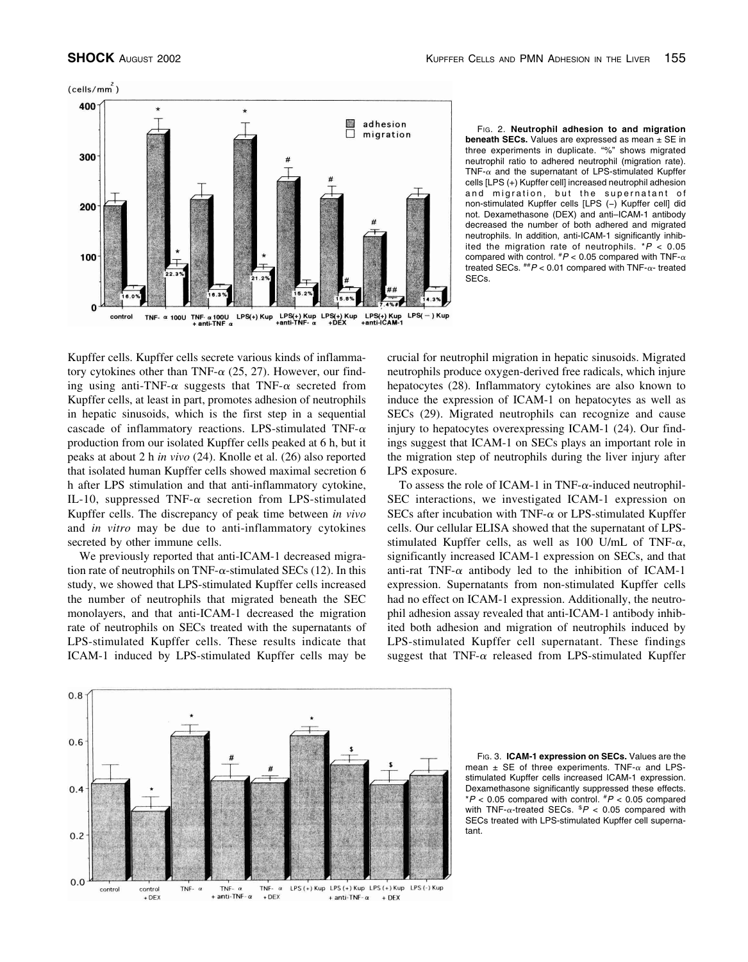

FIG. 2. **Neutrophil adhesion to and migration beneath SECs.** Values are expressed as mean ± SE in three experiments in duplicate. "%" shows migrated neutrophil ratio to adhered neutrophil (migration rate).  $TNF_{-\alpha}$  and the supernatant of LPS-stimulated Kupffer cells [LPS (+) Kupffer cell] increased neutrophil adhesion and migration, but the supernatant of non-stimulated Kupffer cells [LPS (−) Kupffer cell] did not. Dexamethasone (DEX) and anti–ICAM-1 antibody decreased the number of both adhered and migrated neutrophils. In addition, anti-ICAM-1 significantly inhibited the migration rate of neutrophils. \**P* < 0.05 compared with control.  $^{#}P$  < 0.05 compared with TNF- $\alpha$ treated SECs.  $^{**}P < 0.01$  compared with TNF- $\alpha$ - treated SECs.

Kupffer cells. Kupffer cells secrete various kinds of inflammatory cytokines other than TNF- $\alpha$  (25, 27). However, our finding using anti-TNF- $\alpha$  suggests that TNF- $\alpha$  secreted from Kupffer cells, at least in part, promotes adhesion of neutrophils in hepatic sinusoids, which is the first step in a sequential cascade of inflammatory reactions. LPS-stimulated TNF- $\alpha$ production from our isolated Kupffer cells peaked at 6 h, but it peaks at about 2 h *in vivo* (24). Knolle et al. (26) also reported that isolated human Kupffer cells showed maximal secretion 6 h after LPS stimulation and that anti-inflammatory cytokine, IL-10, suppressed TNF- $\alpha$  secretion from LPS-stimulated Kupffer cells. The discrepancy of peak time between *in vivo* and *in vitro* may be due to anti-inflammatory cytokines secreted by other immune cells.

We previously reported that anti-ICAM-1 decreased migration rate of neutrophils on TNF- $\alpha$ -stimulated SECs (12). In this study, we showed that LPS-stimulated Kupffer cells increased the number of neutrophils that migrated beneath the SEC monolayers, and that anti-ICAM-1 decreased the migration rate of neutrophils on SECs treated with the supernatants of LPS-stimulated Kupffer cells. These results indicate that ICAM-1 induced by LPS-stimulated Kupffer cells may be crucial for neutrophil migration in hepatic sinusoids. Migrated neutrophils produce oxygen-derived free radicals, which injure hepatocytes (28). Inflammatory cytokines are also known to induce the expression of ICAM-1 on hepatocytes as well as SECs (29). Migrated neutrophils can recognize and cause injury to hepatocytes overexpressing ICAM-1 (24). Our findings suggest that ICAM-1 on SECs plays an important role in the migration step of neutrophils during the liver injury after LPS exposure.

To assess the role of ICAM-1 in TNF- $\alpha$ -induced neutrophil-SEC interactions, we investigated ICAM-1 expression on SECs after incubation with TNF- $\alpha$  or LPS-stimulated Kupffer cells. Our cellular ELISA showed that the supernatant of LPSstimulated Kupffer cells, as well as 100 U/mL of TNF- $\alpha$ , significantly increased ICAM-1 expression on SECs, and that anti-rat TNF- $\alpha$  antibody led to the inhibition of ICAM-1 expression. Supernatants from non-stimulated Kupffer cells had no effect on ICAM-1 expression. Additionally, the neutrophil adhesion assay revealed that anti-ICAM-1 antibody inhibited both adhesion and migration of neutrophils induced by LPS-stimulated Kupffer cell supernatant. These findings suggest that TNF- $\alpha$  released from LPS-stimulated Kupffer



FIG. 3. **ICAM-1 expression on SECs.** Values are the mean  $\pm$  SE of three experiments. TNF- $\alpha$  and LPSstimulated Kupffer cells increased ICAM-1 expression. Dexamethasone significantly suppressed these effects.  $*P < 0.05$  compared with control.  $*P < 0.05$  compared with  $TNF$ - $\alpha$ -treated SECs.  $P$  < 0.05 compared with SECs treated with LPS-stimulated Kupffer cell supernatant.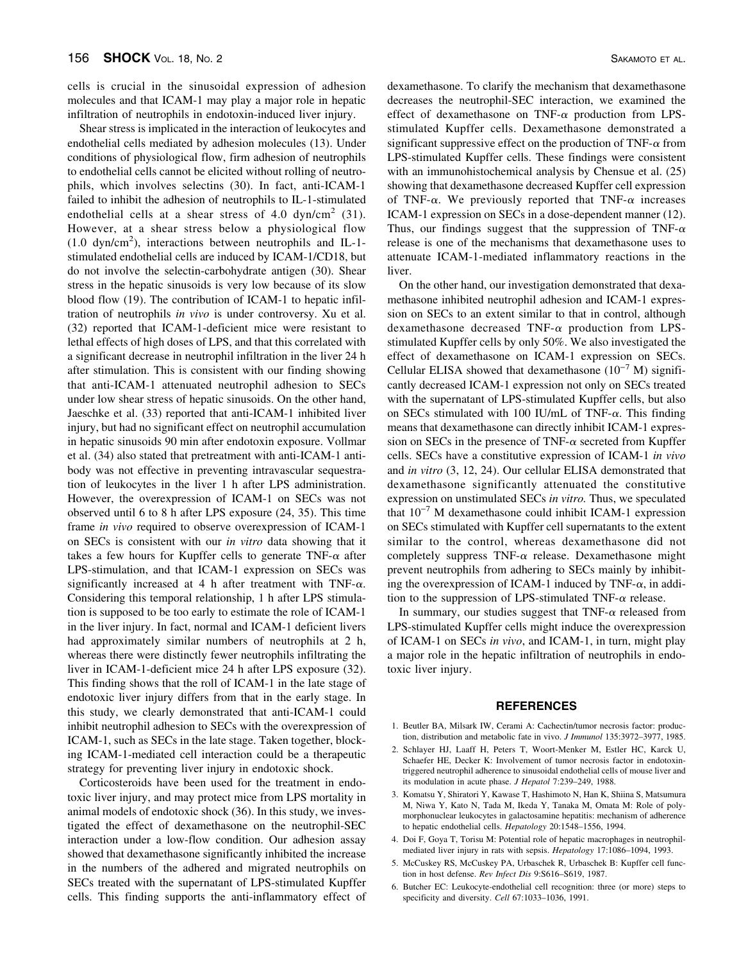cells is crucial in the sinusoidal expression of adhesion molecules and that ICAM-1 may play a major role in hepatic infiltration of neutrophils in endotoxin-induced liver injury.

Shear stress is implicated in the interaction of leukocytes and endothelial cells mediated by adhesion molecules (13). Under conditions of physiological flow, firm adhesion of neutrophils to endothelial cells cannot be elicited without rolling of neutrophils, which involves selectins (30). In fact, anti-ICAM-1 failed to inhibit the adhesion of neutrophils to IL-1-stimulated endothelial cells at a shear stress of 4.0 dyn/cm<sup>2</sup> (31). However, at a shear stress below a physiological flow (1.0 dyn/cm<sup>2</sup> ), interactions between neutrophils and IL-1 stimulated endothelial cells are induced by ICAM-1/CD18, but do not involve the selectin-carbohydrate antigen (30). Shear stress in the hepatic sinusoids is very low because of its slow blood flow (19). The contribution of ICAM-1 to hepatic infiltration of neutrophils *in vivo* is under controversy. Xu et al. (32) reported that ICAM-1-deficient mice were resistant to lethal effects of high doses of LPS, and that this correlated with a significant decrease in neutrophil infiltration in the liver 24 h after stimulation. This is consistent with our finding showing that anti-ICAM-1 attenuated neutrophil adhesion to SECs under low shear stress of hepatic sinusoids. On the other hand, Jaeschke et al. (33) reported that anti-ICAM-1 inhibited liver injury, but had no significant effect on neutrophil accumulation in hepatic sinusoids 90 min after endotoxin exposure. Vollmar et al. (34) also stated that pretreatment with anti-ICAM-1 antibody was not effective in preventing intravascular sequestration of leukocytes in the liver 1 h after LPS administration. However, the overexpression of ICAM-1 on SECs was not observed until 6 to 8 h after LPS exposure (24, 35). This time frame *in vivo* required to observe overexpression of ICAM-1 on SECs is consistent with our *in vitro* data showing that it takes a few hours for Kupffer cells to generate TNF- $\alpha$  after LPS-stimulation, and that ICAM-1 expression on SECs was significantly increased at 4 h after treatment with TNF- $\alpha$ . Considering this temporal relationship, 1 h after LPS stimulation is supposed to be too early to estimate the role of ICAM-1 in the liver injury. In fact, normal and ICAM-1 deficient livers had approximately similar numbers of neutrophils at 2 h, whereas there were distinctly fewer neutrophils infiltrating the liver in ICAM-1-deficient mice 24 h after LPS exposure (32). This finding shows that the roll of ICAM-1 in the late stage of endotoxic liver injury differs from that in the early stage. In this study, we clearly demonstrated that anti-ICAM-1 could inhibit neutrophil adhesion to SECs with the overexpression of ICAM-1, such as SECs in the late stage. Taken together, blocking ICAM-1-mediated cell interaction could be a therapeutic strategy for preventing liver injury in endotoxic shock.

Corticosteroids have been used for the treatment in endotoxic liver injury, and may protect mice from LPS mortality in animal models of endotoxic shock (36). In this study, we investigated the effect of dexamethasone on the neutrophil-SEC interaction under a low-flow condition. Our adhesion assay showed that dexamethasone significantly inhibited the increase in the numbers of the adhered and migrated neutrophils on SECs treated with the supernatant of LPS-stimulated Kupffer cells. This finding supports the anti-inflammatory effect of

dexamethasone. To clarify the mechanism that dexamethasone decreases the neutrophil-SEC interaction, we examined the effect of dexamethasone on TNF- $\alpha$  production from LPSstimulated Kupffer cells. Dexamethasone demonstrated a significant suppressive effect on the production of TNF- $\alpha$  from LPS-stimulated Kupffer cells. These findings were consistent with an immunohistochemical analysis by Chensue et al. (25) showing that dexamethasone decreased Kupffer cell expression of TNF- $\alpha$ . We previously reported that TNF- $\alpha$  increases ICAM-1 expression on SECs in a dose-dependent manner (12). Thus, our findings suggest that the suppression of TNF- $\alpha$ release is one of the mechanisms that dexamethasone uses to attenuate ICAM-1-mediated inflammatory reactions in the liver.

On the other hand, our investigation demonstrated that dexamethasone inhibited neutrophil adhesion and ICAM-1 expression on SECs to an extent similar to that in control, although dexamethasone decreased TNF- $\alpha$  production from LPSstimulated Kupffer cells by only 50%. We also investigated the effect of dexamethasone on ICAM-1 expression on SECs. Cellular ELISA showed that dexamethasone  $(10^{-7}$  M) significantly decreased ICAM-1 expression not only on SECs treated with the supernatant of LPS-stimulated Kupffer cells, but also on SECs stimulated with 100 IU/mL of TNF- $\alpha$ . This finding means that dexamethasone can directly inhibit ICAM-1 expression on SECs in the presence of TNF- $\alpha$  secreted from Kupffer cells. SECs have a constitutive expression of ICAM-1 *in vivo* and *in vitro* (3, 12, 24). Our cellular ELISA demonstrated that dexamethasone significantly attenuated the constitutive expression on unstimulated SECs *in vitro.* Thus, we speculated that 10−7 M dexamethasone could inhibit ICAM-1 expression on SECs stimulated with Kupffer cell supernatants to the extent similar to the control, whereas dexamethasone did not completely suppress  $TNF-\alpha$  release. Dexamethasone might prevent neutrophils from adhering to SECs mainly by inhibiting the overexpression of ICAM-1 induced by TNF- $\alpha$ , in addition to the suppression of LPS-stimulated TNF- $\alpha$  release.

In summary, our studies suggest that  $TNF-\alpha$  released from LPS-stimulated Kupffer cells might induce the overexpression of ICAM-1 on SECs *in vivo*, and ICAM-1, in turn, might play a major role in the hepatic infiltration of neutrophils in endotoxic liver injury.

### **REFERENCES**

- 1. Beutler BA, Milsark IW, Cerami A: Cachectin/tumor necrosis factor: production, distribution and metabolic fate in vivo. *J Immunol* 135:3972–3977, 1985.
- 2. Schlayer HJ, Laaff H, Peters T, Woort-Menker M, Estler HC, Karck U, Schaefer HE, Decker K: Involvement of tumor necrosis factor in endotoxintriggered neutrophil adherence to sinusoidal endothelial cells of mouse liver and its modulation in acute phase. *J Hepatol* 7:239–249, 1988.
- 3. Komatsu Y, Shiratori Y, Kawase T, Hashimoto N, Han K, Shiina S, Matsumura M, Niwa Y, Kato N, Tada M, Ikeda Y, Tanaka M, Omata M: Role of polymorphonuclear leukocytes in galactosamine hepatitis: mechanism of adherence to hepatic endothelial cells. *Hepatology* 20:1548–1556, 1994.
- 4. Doi F, Goya T, Torisu M: Potential role of hepatic macrophages in neutrophilmediated liver injury in rats with sepsis. *Hepatology* 17:1086–1094, 1993.
- 5. McCuskey RS, McCuskey PA, Urbaschek R, Urbaschek B: Kupffer cell function in host defense. *Rev Infect Dis* 9:S616–S619, 1987.
- 6. Butcher EC: Leukocyte-endothelial cell recognition: three (or more) steps to specificity and diversity. *Cell* 67:1033–1036, 1991.